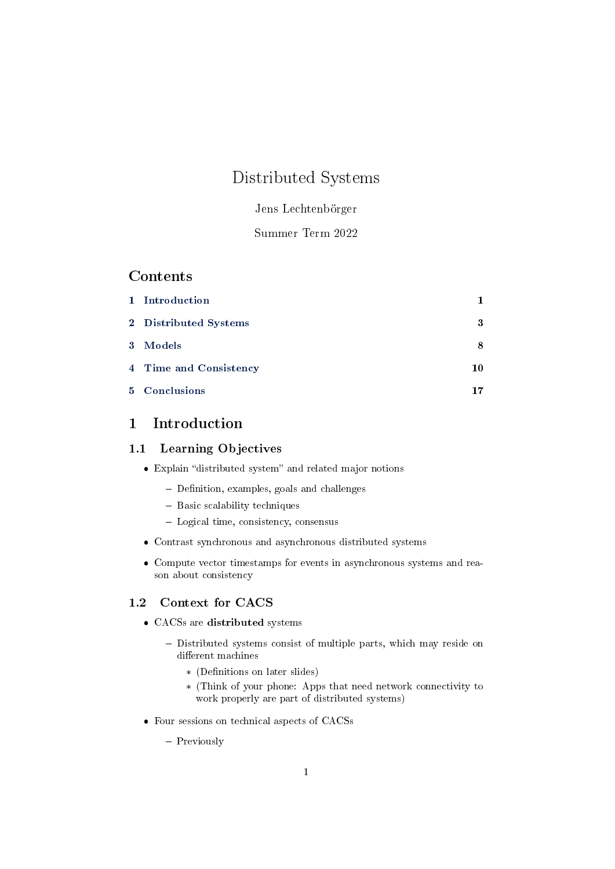# Distributed Systems

# Jens Lechtenbörger

# Summer Term 2022

# Contents

| 1 Introduction         |    |
|------------------------|----|
| 2 Distributed Systems  | 3  |
| 3 Models               | 8  |
| 4 Time and Consistency | 10 |
| 5 Conclusions          | 17 |

# <span id="page-0-0"></span>1 Introduction

# 1.1 Learning Objectives

- $\bullet$  Explain "distributed system" and related major notions
	- $-$  Definition, examples, goals and challenges
	- $-$  Basic scalability techniques
	- Logical time, consistency, consensus
- Contrast synchronous and asynchronous distributed systems
- Compute vector timestamps for events in asynchronous systems and reason about consistency

# 1.2 Context for CACS

- CACSs are distributed systems
	- Distributed systems consist of multiple parts, which may reside on different machines
		- \* (Definitions on later slides)
		- \* (Think of your phone: Apps that need network connectivity to work properly are part of distributed systems)
- Four sessions on technical aspects of CACSs

- Previously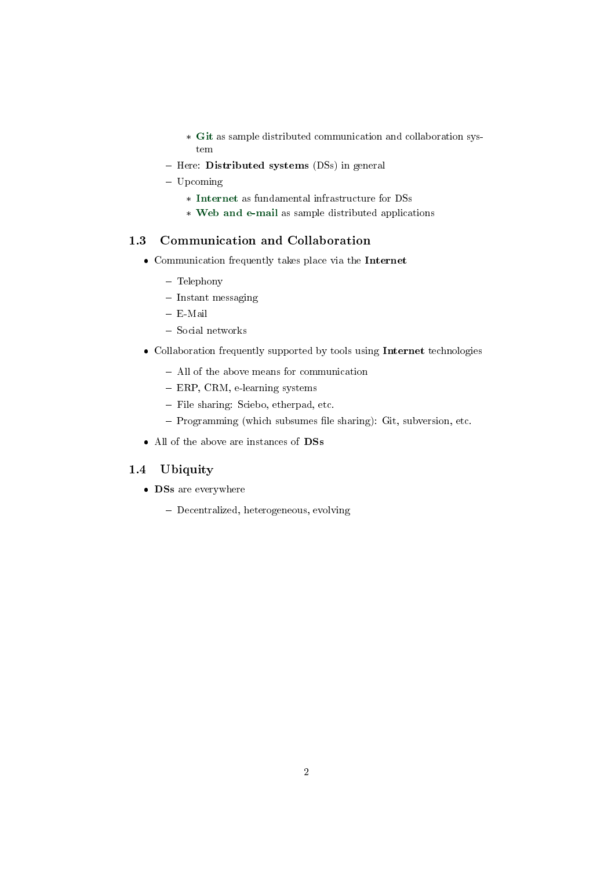- \* [Git](Git-Introduction.org) as sample distributed communication and collaboration system
- Here: Distributed systems (DSs) in general
- Upcoming
	- $\ast\,$  [Internet](Internet.org) as fundamental infrastructure for DSs
	- \* [Web and e-mail](Web-and-E-Mail.org) as sample distributed applications

# 1.3 Communication and Collaboration

- Communication frequently takes place via the Internet
	- Telephony
	- $-$  Instant messaging
	- E-Mail
	- Social networks
- Collaboration frequently supported by tools using Internet technologies
	- All of the above means for communication
	- ERP, CRM, e-learning systems
	- File sharing: Sciebo, etherpad, etc.
	- Programming (which subsumes file sharing): Git, subversion, etc.
- All of the above are instances of DSs

# 1.4 Ubiquity

- DSs are everywhere
	- Decentralized, heterogeneous, evolving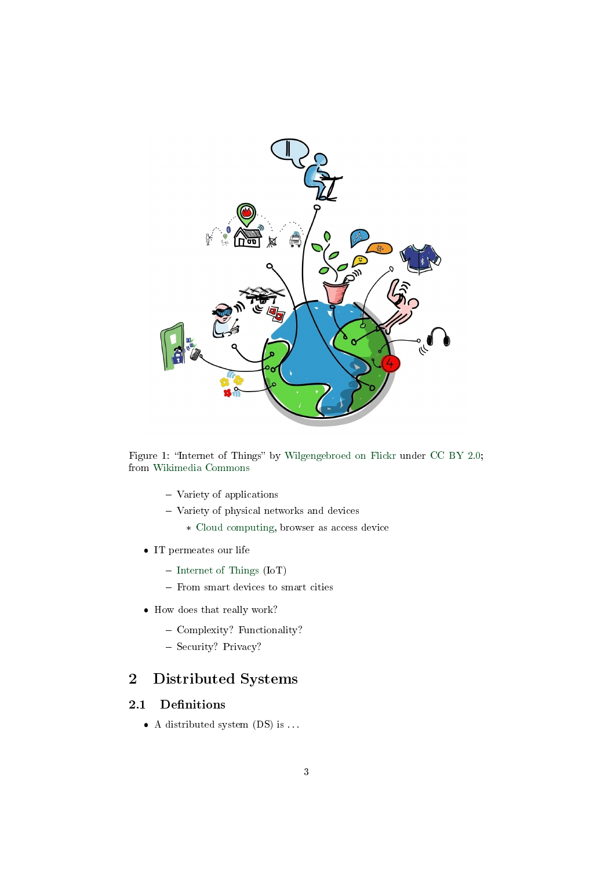

Figure 1: "Internet of Things" by [Wilgengebroed on Flickr](https://www.flickr.com/photos/wilgengebroed/) under [CC BY 2.0;](https://creativecommons.org/licenses/by/2.0/) from [Wikimedia Commons](https://commons.wikimedia.org/wiki/File:Internet_of_Things.jpg)

- Variety of applications
- Variety of physical networks and devices
	- \* [Cloud computing,](https://en.wikipedia.org/wiki/Cloud_computing) browser as access device
- IT permeates our life
	- $-$  [Internet of Things](https://en.wikipedia.org/wiki/Internet_of_things) (IoT)
	- From smart devices to smart cities
- How does that really work?
	- Complexity? Functionality?
	- Security? Privacy?

# <span id="page-2-0"></span>2 Distributed Systems

# 2.1 Definitions

 $\bullet$  A distributed system (DS) is ...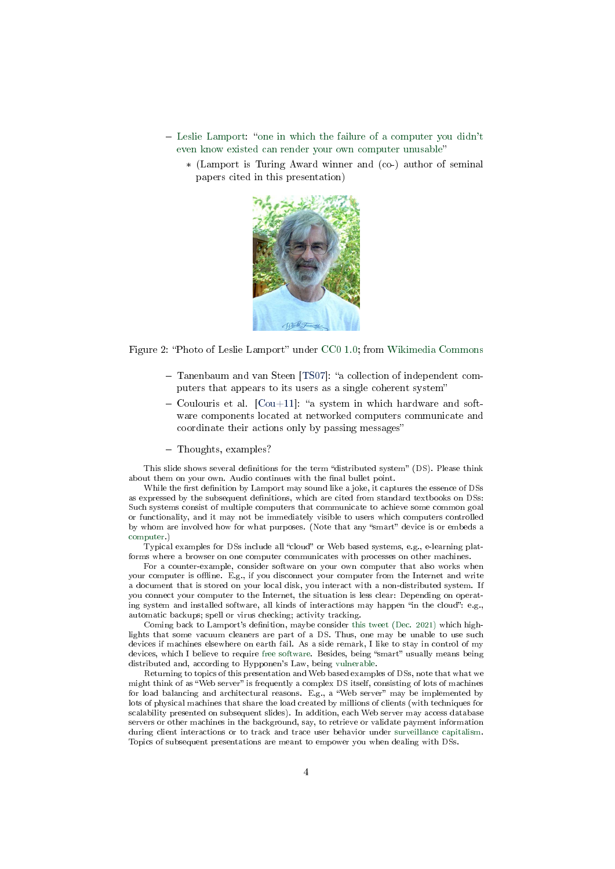- $\overline{\phantom{a}}$  [Leslie Lamport:](https://en.wikipedia.org/wiki/Leslie_Lamport) "[one in which the failure of a computer you didn't](https://www.microsoft.com/en-us/research/publication/distribution/) [even know existed can render your own computer unusable](https://www.microsoft.com/en-us/research/publication/distribution/)
	- \* (Lamport is Turing Award winner and (co-) author of seminal papers cited in this presentation)



Figure 2: "Photo of Leslie Lamport" under [CC0 1.0;](https://creativecommons.org/publicdomain/zero/1.0/) from [Wikimedia Commons](https://commons.wikimedia.org/wiki/File:Leslie_Lamport.jpg)

- Tanenbaum and van Steen [\[TS07\]](#page-18-0): "a collection of independent computers that appears to its users as a single coherent system
- $-$  Coulouris et al.  $[$ Cou+11]: "a system in which hardware and software components located at networked computers communicate and coordinate their actions only by passing messages
- Thoughts, examples?

This slide shows several definitions for the term "distributed system" (DS). Please think about them on your own. Audio continues with the final bullet point.

While the first definition by Lamport may sound like a joke, it captures the essence of DSs as expressed by the subsequent definitions, which are cited from standard textbooks on DSs: Such systems consist of multiple computers that communicate to achieve some common goal or functionality, and it may not be immediately visible to users which computers controlled by whom are involved how for what purposes. (Note that any "smart" device is or embeds a [computer.](https://oer.gitlab.io/OS/Operating-Systems-Motivation.html#slide-computers))

Typical examples for DSs include all "cloud" or Web based systems, e.g., e-learning platforms where a browser on one computer communicates with processes on other machines.

For a counter-example, consider software on your own computer that also works when your computer is offline. E.g., if you disconnect your computer from the Internet and write a document that is stored on your local disk, you interact with a non-distributed system. If you connect your computer to the Internet, the situation is less clear: Depending on operating system and installed software, all kinds of interactions may happen "in the cloud": e.g., automatic backups; spell or virus checking; activity tracking.

Coming back to Lamport's definition, may be consider [this tweet \(Dec. 2021\)](https://twitter.com/grady_booch/status/1468376568695181312) which highlights that some vacuum cleaners are part of a DS. Thus, one may be unable to use such devices if machines elsewhere on earth fail. As a side remark, I like to stay in control of my devices, which I believe to require [free software.](https://oer.gitlab.io/OS/Operating-Systems-Motivation.html#slide-free-software) Besides, being "smart" usually means being distributed and, according to Hypponen's Law, being [vulnerable.](https://blog.f-secure.com/hypponens-law-smart-vulnerable/)

Returning to topics of this presentation and Web based examples of DSs, note that what we might think of as "Web server" is frequently a complex DS itself, consisting of lots of machines for load balancing and architectural reasons. E.g., a "Web server" may be implemented by lots of physical machines that share the load created by millions of clients (with techniques for scalability presented on subsequent slides). In addition, each Web server may access database servers or other machines in the background, say, to retrieve or validate payment information during client interactions or to track and trace user behavior under [surveillance capitalism.](https://en.wikipedia.org/wiki/Surveillance_capitalism) Topics of subsequent presentations are meant to empower you when dealing with DSs.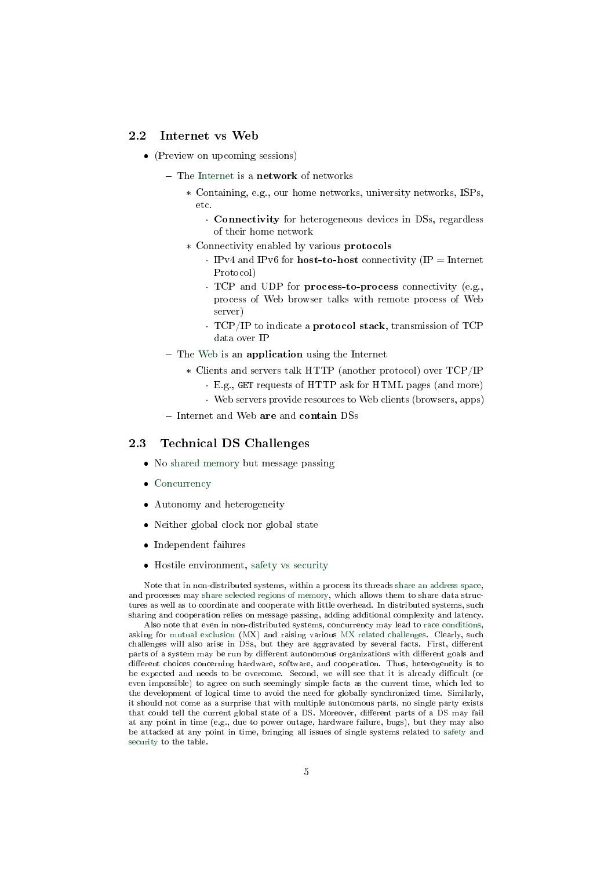### 2.2 Internet vs Web

- (Preview on upcoming sessions)
	- $-$  The [Internet](https://oer.gitlab.io/oer-courses/cacs/Internet.html) is a **network** of networks
		- \* Containing, e.g., our home networks, university networks, ISPs, etc.
			- Connectivity for heterogeneous devices in DSs, regardless of their home network
		- \* Connectivity enabled by various protocols
			- IPv4 and IPv6 for **host-to-host** connectivity  $(\text{IP} = \text{Internet})$ Protocol)
			- · TCP and UDP for process-to-process connectivity (e.g., process of Web browser talks with remote process of Web server)
			- · TCP/IP to indicate a protocol stack, transmission of TCP data over IP
	- $-$  The [Web](https://oer.gitlab.io/oer-courses/cacs/Web-and-E-Mail.html) is an **application** using the Internet
		- \* Clients and servers talk HTTP (another protocol) over TCP/IP
			- · E.g., GET requests of HTTP ask for HTML pages (and more)
			- · Web servers provide resources to Web clients (browsers, apps)
	- Internet and Web are and contain DSs

#### 2.3 Technical DS Challenges

- No [shared memory](https://oer.gitlab.io/OS/Operating-Systems-Memory-I.html#slide-shared-memory) but message passing
- [Concurrency](https://oer.gitlab.io/OS/Operating-Systems-Threads.html#slide-concurrency)
- Autonomy and heterogeneity
- Neither global clock nor global state
- Independent failures
- Hostile environment, [safety vs security](https://oer.gitlab.io/OS/Operating-Systems-Security.html#slide-safety-security)

Note that in non-distributed systems, within a process its threads [share an address space,](https://oer.gitlab.io/OS/Operating-Systems-Memory-I.html#slide-processes) and processes may [share selected regions of memory,](https://oer.gitlab.io/OS/Operating-Systems-Memory-I.html#slide-shared-memory) which allows them to share data structures as well as to coordinate and cooperate with little overhead. In distributed systems, such sharing and cooperation relies on message passing, adding additional complexity and latency.

Also note that even in non-distributed systems, concurrency may lead to [race conditions,](https://oer.gitlab.io/OS/Operating-Systems-MX.html#slide-race-condition) asking for [mutual exclusion](https://oer.gitlab.io/OS/Operating-Systems-MX.html#slide-mx-goal) (MX) and raising various [MX related challenges.](https://oer.gitlab.io/OS/Operating-Systems-MX-Challenges.html) Clearly, such challenges will also arise in DSs, but they are aggravated by several facts. First, different parts of a system may be run by different autonomous organizations with different goals and different choices concerning hardware, software, and cooperation. Thus, heterogeneity is to be expected and needs to be overcome. Second, we will see that it is already difficult (or even impossible) to agree on such seemingly simple facts as the current time, which led to the development of logical time to avoid the need for globally synchronized time. Similarly, it should not come as a surprise that with multiple autonomous parts, no single party exists that could tell the current global state of a DS. Moreover, different parts of a DS may fail at any point in time (e.g., due to power outage, hardware failure, bugs), but they may also be attacked at any point in time, bringing all issues of single systems related to [safety and](https://oer.gitlab.io/OS/Operating-Systems-Security.html#slide-safety-security) [security](https://oer.gitlab.io/OS/Operating-Systems-Security.html#slide-safety-security) to the table.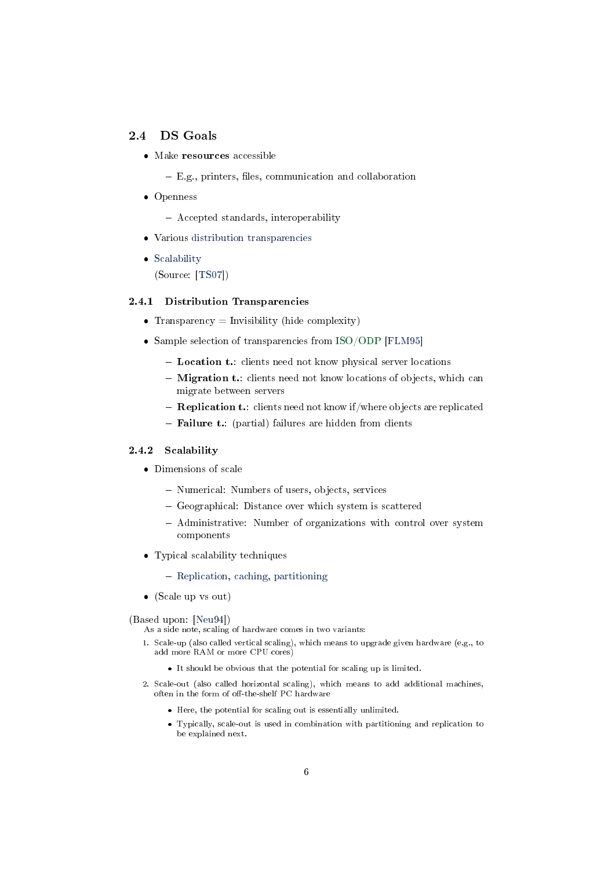# 2.4 DS Goals

- Make resources accessible
	- $E.g.,$  printers, files, communication and collaboration
- Openness

Accepted standards, interoperability

- Various [distribution transparencies](#page-5-0)
- [Scalability](#page-5-1) (Source: [\[TS07\]](#page-18-0))

### <span id="page-5-0"></span>2.4.1 Distribution Transparencies

- Transparency  $=$  Invisibility (hide complexity)
- Sample selection of transparencies from [ISO/ODP](https://en.wikipedia.org/wiki/RM-ODP) [\[FLM95\]](#page-17-1)
	- Location t.: clients need not know physical server locations
	- Migration t.: clients need not know locations of objects, which can migrate between servers
	- **Replication t.**: clients need not know if/where objects are replicated
	- Failure t.: (partial) failures are hidden from clients

### <span id="page-5-1"></span>2.4.2 Scalability

- Dimensions of scale
	- Numerical: Numbers of users, objects, services
	- Geographical: Distance over which system is scattered
	- Administrative: Number of organizations with control over system components
- Typical scalability techniques
	- [Replication,](#page-6-0) [caching,](#page-6-1) [partitioning](#page-6-2)
- (Scale up vs out)

#### (Based upon: [\[Neu94\]](#page-18-1))

As a side note, scaling of hardware comes in two variants:

- 1. Scale-up (also called vertical scaling), which means to upgrade given hardware (e.g., to add more RAM or more CPU cores)
	- It should be obvious that the potential for scaling up is limited.
- 2. Scale-out (also called horizontal scaling), which means to add additional machines, often in the form of off-the-shelf PC hardware
	- Here, the potential for scaling out is essentially unlimited.
	- Typically, scale-out is used in combination with partitioning and replication to be explained next.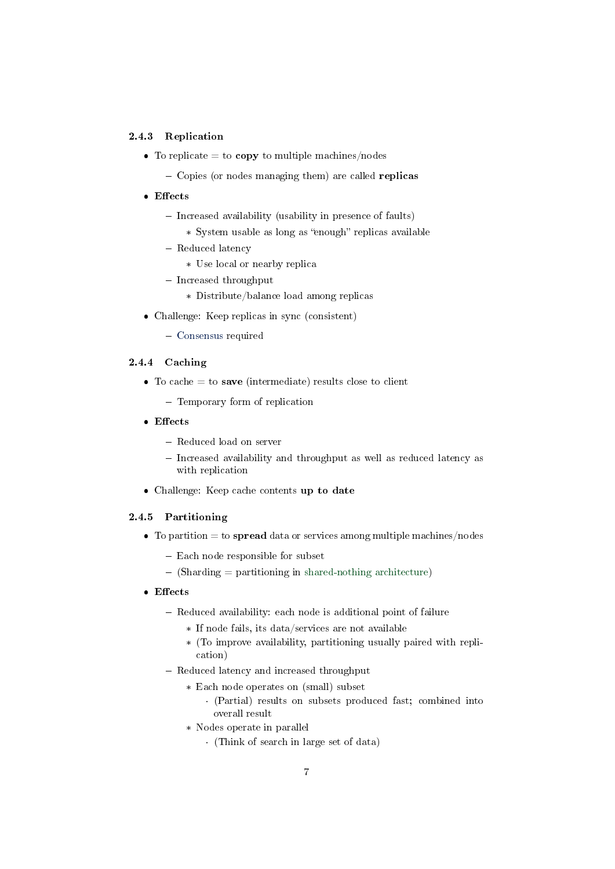## <span id="page-6-0"></span>2.4.3 Replication

- To replicate  $=$  to copy to multiple machines/nodes
	- Copies (or nodes managing them) are called **replicas**
- Effects
	- Increased availability (usability in presence of faults)
	- \* System usable as long as "enough" replicas available
	- Reduced latency
		- \* Use local or nearby replica
	- $-$  Increased throughput
		- \* Distribute/balance load among replicas
- Challenge: Keep replicas in sync (consistent)
	- [Consensus](#page-15-0) required

# <span id="page-6-1"></span>2.4.4 Caching

- $\bullet$  To cache = to save (intermediate) results close to client
	- Temporary form of replication
- $\bullet$  Effects
	- Reduced load on server
	- Increased availability and throughput as well as reduced latency as with replication
- Challenge: Keep cache contents up to date

### <span id="page-6-2"></span>2.4.5 Partitioning

- $\bullet$  To partition = to **spread** data or services among multiple machines/nodes
	- Each node responsible for subset
	- $-$  (Sharding  $=$  partitioning in [shared-nothing architecture\)](https://en.wikipedia.org/wiki/Shared-nothing_architecture)
- Effects
	- Reduced availability: each node is additional point of failure
		- \* If node fails, its data/services are not available
		- \* (To improve availability, partitioning usually paired with replication)
	- Reduced latency and increased throughput
		- \* Each node operates on (small) subset
			- · (Partial) results on subsets produced fast; combined into overall result
		- \* Nodes operate in parallel
			- · (Think of search in large set of data)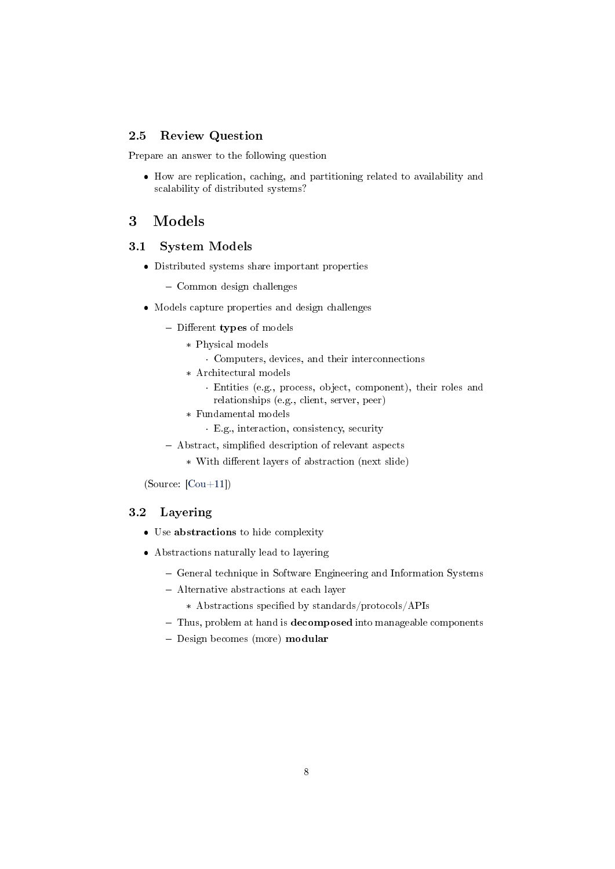# 2.5 Review Question

Prepare an answer to the following question

 How are replication, caching, and partitioning related to availability and scalability of distributed systems?

# <span id="page-7-0"></span>3 Models

# 3.1 System Models

- Distributed systems share important properties
	- Common design challenges
- Models capture properties and design challenges
	- Different types of models
		- \* Physical models
			- · Computers, devices, and their interconnections
		- \* Architectural models
			- · Entities (e.g., process, object, component), their roles and relationships (e.g., client, server, peer)
		- \* Fundamental models
			- · E.g., interaction, consistency, security
	- Abstract, simplified description of relevant aspects
		- \* With different layers of abstraction (next slide)

(Source: [\[Cou+11\]](#page-17-0))

### 3.2 Layering

- Use abstractions to hide complexity
- Abstractions naturally lead to layering
	- General technique in Software Engineering and Information Systems
	- Alternative abstractions at each layer
		- \* Abstractions specified by standards/protocols/APIs
	- Thus, problem at hand is **decomposed** into manageable components
	- Design becomes (more) modular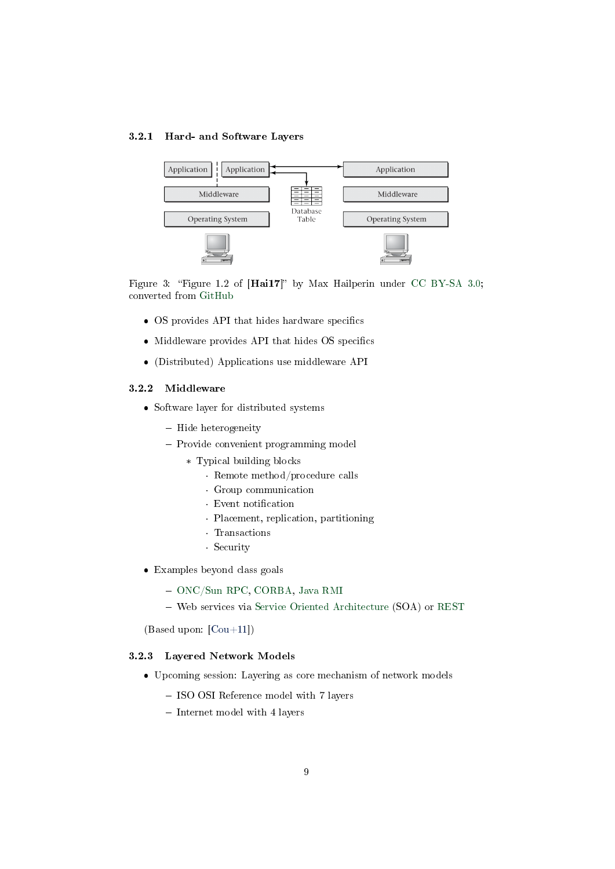### 3.2.1 Hard- and Software Layers



Figure 3: "Figure 1.2 of  $[Hai17]$ " by Max Hailperin under [CC BY-SA 3.0;](https://creativecommons.org/licenses/by-sa/3.0/) converted from [GitHub](https://github.com/Max-Hailperin/Operating-Systems-and-Middleware--Supporting-Controlled-Interaction/blob/master/hail_f0102.pdf)

- OS provides API that hides hardware specifics
- Middleware provides API that hides OS specifics
- (Distributed) Applications use middleware API

#### 3.2.2 Middleware

- Software layer for distributed systems
	- $-$  Hide heterogeneity
	- Provide convenient programming model
		- \* Typical building blocks
			- · Remote method/procedure calls
			- · Group communication
			- · Event notification
			- · Placement, replication, partitioning
			- · Transactions
			- · Security
- Examples beyond class goals
	- [ONC/Sun RPC,](https://en.wikipedia.org/wiki/Open_Network_Computing_Remote_Procedure_Call) [CORBA,](https://en.wikipedia.org/wiki/Common_Object_Request_Broker_Architecture) [Java RMI](https://en.wikipedia.org/wiki/Java_remote_method_invocation)
	- Web services via [Service Oriented Architecture](https://en.wikipedia.org/wiki/Service-oriented_architecture) (SOA) or [REST](https://en.wikipedia.org/wiki/Representational_state_transfer)

(Based upon: [\[Cou+11\]](#page-17-0))

#### 3.2.3 Layered Network Models

- Upcoming session: Layering as core mechanism of network models
	- ISO OSI Reference model with 7 layers
	- Internet model with 4 layers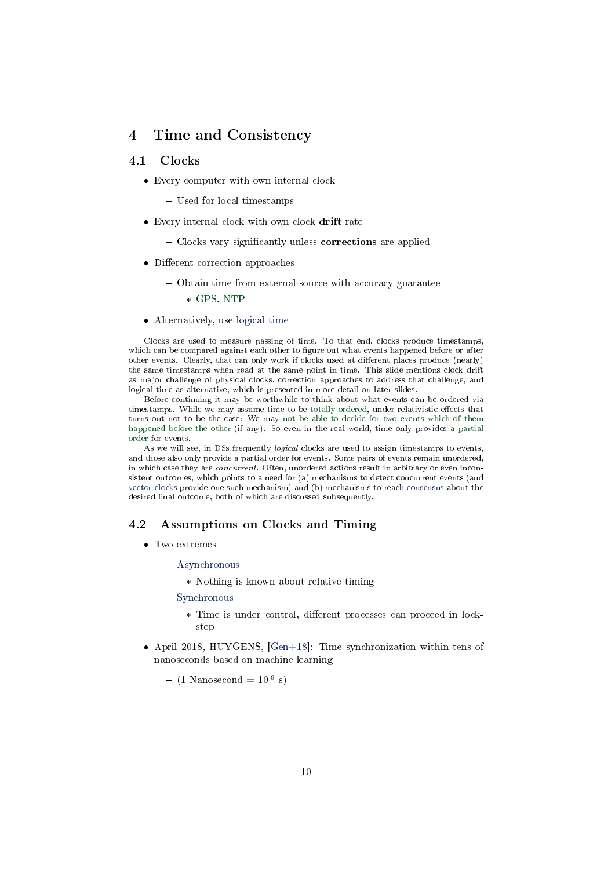# <span id="page-9-0"></span>4 Time and Consistency

# 4.1 Clocks

- Every computer with own internal clock
	- Used for local timestamps
- Every internal clock with own clock drift rate
	- Clocks vary significantly unless corrections are applied
- Different correction approaches
	- Obtain time from external source with accuracy guarantee
		- \* [GPS,](https://en.wikipedia.org/wiki/Global_Positioning_System) [NTP](https://en.wikipedia.org/wiki/Network_Time_Protocol)
- Alternatively, use [logical time](#page-10-0)

Clocks are used to measure passing of time. To that end, clocks produce timestamps, which can be compared against each other to figure out what events happened before or after other events. Clearly, that can only work if clocks used at different places produce (nearly) the same timestamps when read at the same point in time. This slide mentions clock drift as major challenge of physical clocks, correction approaches to address that challenge, and logical time as alternative, which is presented in more detail on later slides.

Before continuing it may be worthwhile to think about what events can be ordered via timestamps. While we may assume time to be [totally ordered,](https://en.wikipedia.org/wiki/Total_order) under relativistic effects that turns out not to be the case: We may [not be able to decide for two events which of them](https://en.wikipedia.org/wiki/Relativity_of_simultaneity) [happened before the other](https://en.wikipedia.org/wiki/Relativity_of_simultaneity) (if any). So even in the real world, time only provides a [partial](https://en.wikipedia.org/wiki/Partially_ordered_set) [order](https://en.wikipedia.org/wiki/Partially_ordered_set) for events.

As we will see, in DSs frequently *logical* clocks are used to assign timestamps to events, and those also only provide a partial order for events. Some pairs of events remain unordered, in which case they are *concurrent*. Often, unordered actions result in arbitrary or even inconsistent outcomes, which points to a need for (a) mechanisms to detect concurrent events (and [vector clocks](#page-13-0) provide one such mechanism) and (b) mechanisms to reach [consensus](#page-15-0) about the desired final outcome, both of which are discussed subsequently.

#### 4.2 Assumptions on Clocks and Timing

- Two extremes
	- [Asynchronous](#page-10-1)
		- \* Nothing is known about relative timing
	- [Synchronous](#page-10-2)
		- \* Time is under control, different processes can proceed in lockstep
- April 2018, HUYGENS, [\[Gen+18\]](#page-18-2): Time synchronization within tens of nanoseconds based on machine learning

 $-$  (1 Nanosecond =  $10^{-9}$  s)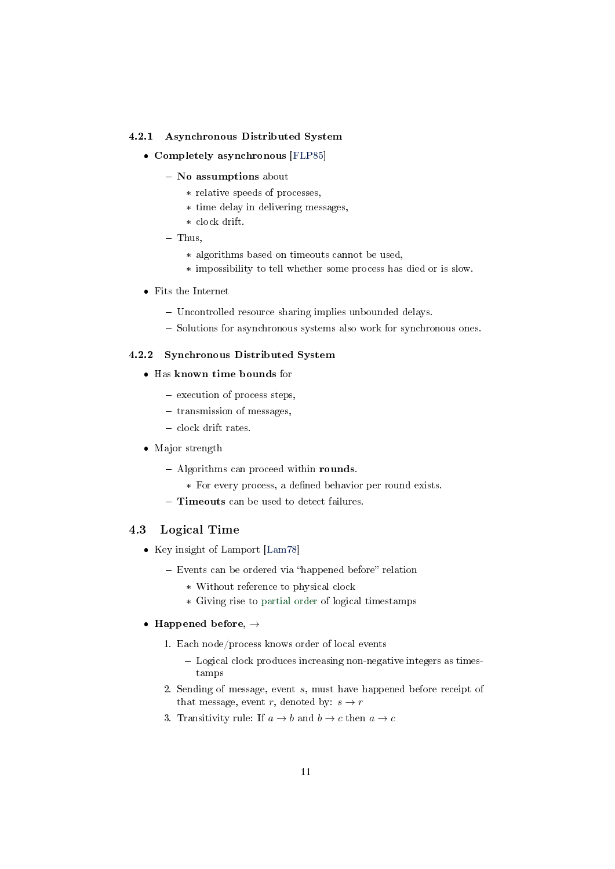### <span id="page-10-1"></span>4.2.1 Asynchronous Distributed System

- Completely asynchronous [\[FLP85\]](#page-17-2)
	- No assumptions about
		- \* relative speeds of processes,
		- \* time delay in delivering messages,
		- \* clock drift.
	- $-$  Thus.
		- \* algorithms based on timeouts cannot be used,
		- \* impossibility to tell whether some process has died or is slow.
- Fits the Internet
	- Uncontrolled resource sharing implies unbounded delays.
	- Solutions for asynchronous systems also work for synchronous ones.

# <span id="page-10-2"></span>4.2.2 Synchronous Distributed System

- Has known time bounds for
	- execution of process steps,
	- $-$  transmission of messages,
	- clock drift rates.
- Major strength
	- $-$  Algorithms can proceed within rounds.
		- \* For every process, a dened behavior per round exists.
	- **Timeouts** can be used to detect failures.

# <span id="page-10-0"></span>4.3 Logical Time

- Key insight of Lamport [\[Lam78\]](#page-18-3)
	- $-$  Events can be ordered via "happened before" relation
		- \* Without reference to physical clock
		- \* Giving rise to [partial order](https://en.wikipedia.org/wiki/Partially_ordered_set) of logical timestamps

#### • Happened before,  $\rightarrow$

- 1. Each node/process knows order of local events
	- Logical clock produces increasing non-negative integers as timestamps
- 2. Sending of message, event  $s$ , must have happened before receipt of that message, event r, denoted by:  $s \to r$
- 3. Transitivity rule: If  $a \to b$  and  $b \to c$  then  $a \to c$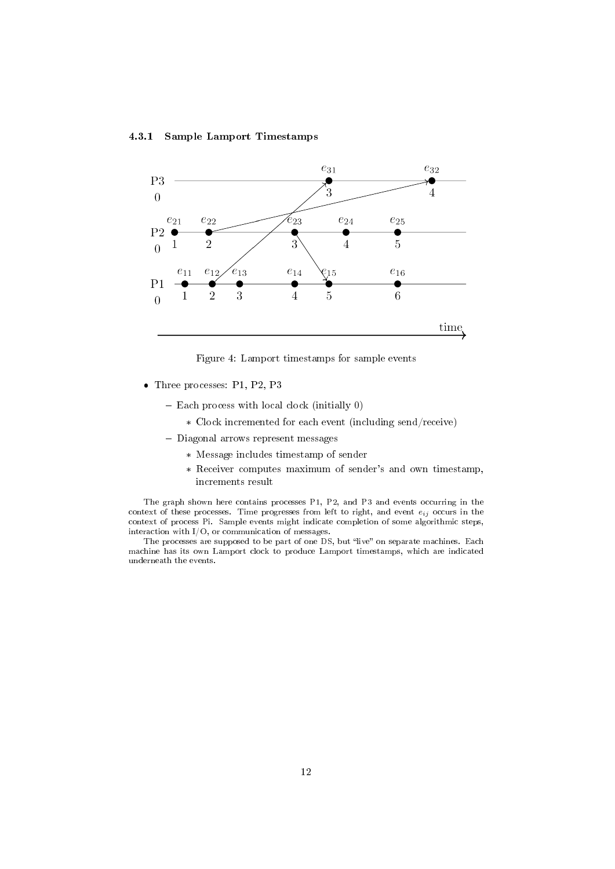## 4.3.1 Sample Lamport Timestamps



Figure 4: Lamport timestamps for sample events

- Three processes: P1, P2, P3
	- $-$  Each process with local clock (initially 0)
		- \* Clock incremented for each event (including send/receive)
	- Diagonal arrows represent messages
		- \* Message includes timestamp of sender
		- \* Receiver computes maximum of sender's and own timestamp, increments result

The graph shown here contains processes P1, P2, and P3 and events occurring in the context of these processes. Time progresses from left to right, and event  $e_{ij}$  occurs in the context of process Pi. Sample events might indicate completion of some algorithmic steps, interaction with I/O, or communication of messages.

The processes are supposed to be part of one DS, but "live" on separate machines. Each machine has its own Lamport clock to produce Lamport timestamps, which are indicated underneath the events.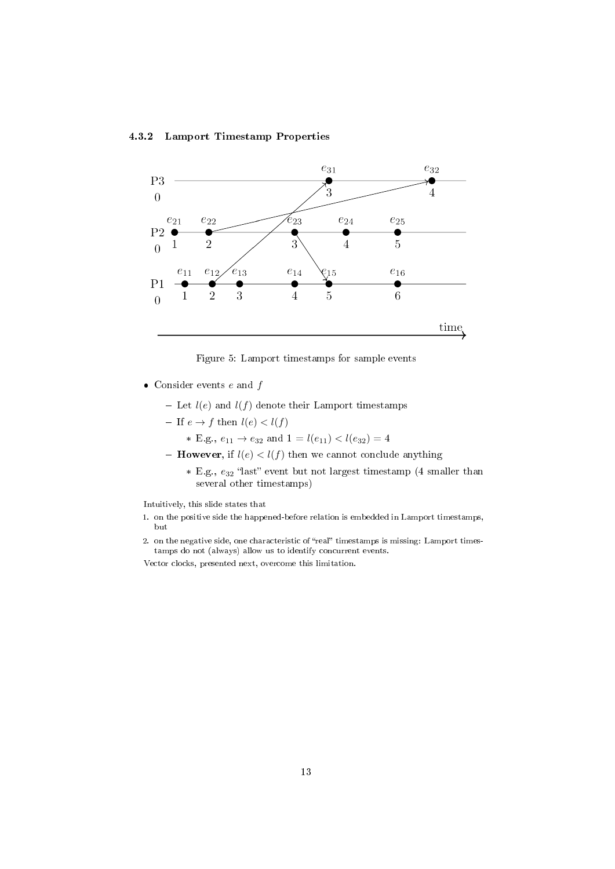### 4.3.2 Lamport Timestamp Properties



Figure 5: Lamport timestamps for sample events

- Consider events  $e$  and  $f$ 
	- Let  $l(e)$  and  $l(f)$  denote their Lamport timestamps
	- If  $e \to f$  then  $l(e) < l(f)$ 
		- \* E.g.,  $e_{11} \rightarrow e_{32}$  and  $1 = l(e_{11}) < l(e_{32}) = 4$
	- **However,** if  $l(e) < l(f)$  then we cannot conclude anything
		- \* E.g.,  $e_{32}$  "last" event but not largest timestamp (4 smaller than several other timestamps)

Intuitively, this slide states that

- 1. on the positive side the happened-before relation is embedded in Lamport timestamps, but
- 2. on the negative side, one characteristic of "real" timestamps is missing: Lamport timestamps do not (always) allow us to identify concurrent events.

Vector clocks, presented next, overcome this limitation.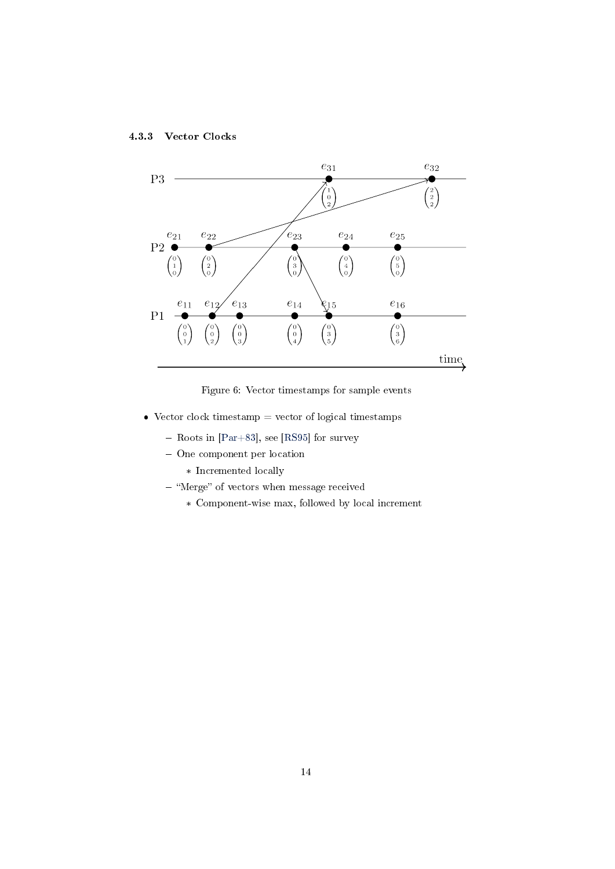<span id="page-13-0"></span>



Figure 6: Vector timestamps for sample events

- Vector clock timestamp  $=$  vector of logical timestamps
	- $-$  Roots in [\[Par+83\]](#page-18-4), see [\[RS95\]](#page-18-5) for survey
	- One component per location
		- \* Incremented locally
	- "Merge" of vectors when message received
		- \* Component-wise max, followed by local increment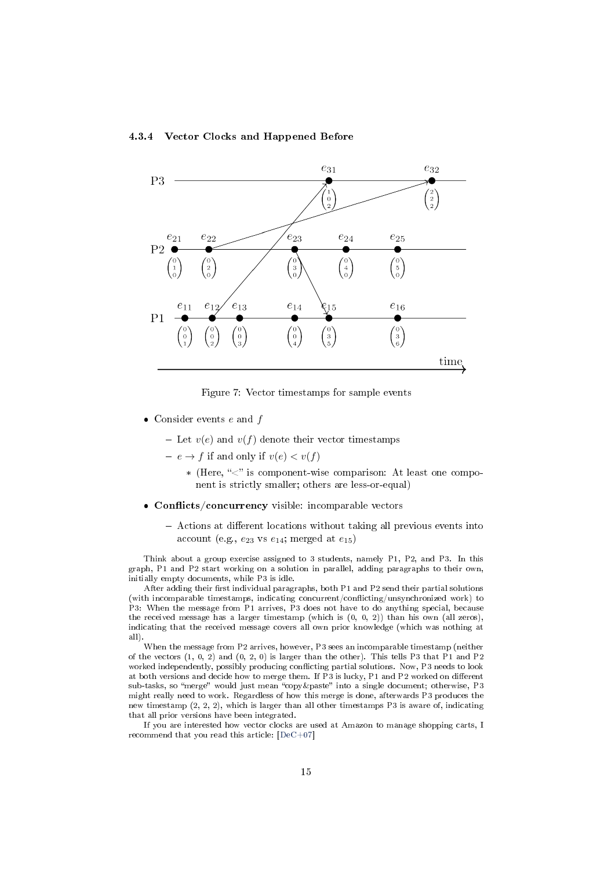<span id="page-14-0"></span>



Figure 7: Vector timestamps for sample events

- Consider events  $e$  and  $f$ 
	- Let  $v(e)$  and  $v(f)$  denote their vector timestamps
	- $e \rightarrow f$  if and only if  $v(e) < v(f)$ 
		- \* (Here, " $\lt$ " is component-wise comparison: At least one component is strictly smaller; others are less-or-equal)
- $\bullet$  Conflicts/concurrency visible: incomparable vectors
	- Actions at different locations without taking all previous events into account (e.g.,  $e_{23}$  vs  $e_{14}$ ; merged at  $e_{15}$ )

Think about a group exercise assigned to 3 students, namely P1, P2, and P3. In this graph, P1 and P2 start working on a solution in parallel, adding paragraphs to their own, initially empty documents, while P3 is idle.

After adding their first individual paragraphs, both  $P1$  and  $P2$  send their partial solutions (with incomparable timestamps, indicating concurrent/conflicting/unsynchronized work) to P3: When the message from P1 arrives, P3 does not have to do anything special, because the received message has a larger timestamp (which is  $(0, 0, 2)$ ) than his own (all zeros), indicating that the received message covers all own prior knowledge (which was nothing at all).

When the message from P2 arrives, however, P3 sees an incomparable timestamp (neither of the vectors  $(1, 0, 2)$  and  $(0, 2, 0)$  is larger than the other). This tells P3 that P1 and P2 worked independently, possibly producing conflicting partial solutions. Now, P3 needs to look at both versions and decide how to merge them. If P3 is lucky, P1 and P2 worked on different sub-tasks, so "merge" would just mean "copy &paste" into a single document; otherwise, P3 might really need to work. Regardless of how this merge is done, afterwards P3 produces the new timestamp (2, 2, 2), which is larger than all other timestamps P3 is aware of, indicating that all prior versions have been integrated.

If you are interested how vector clocks are used at Amazon to manage shopping carts, I recommend that you read this article: [\[DeC+07\]](#page-17-3)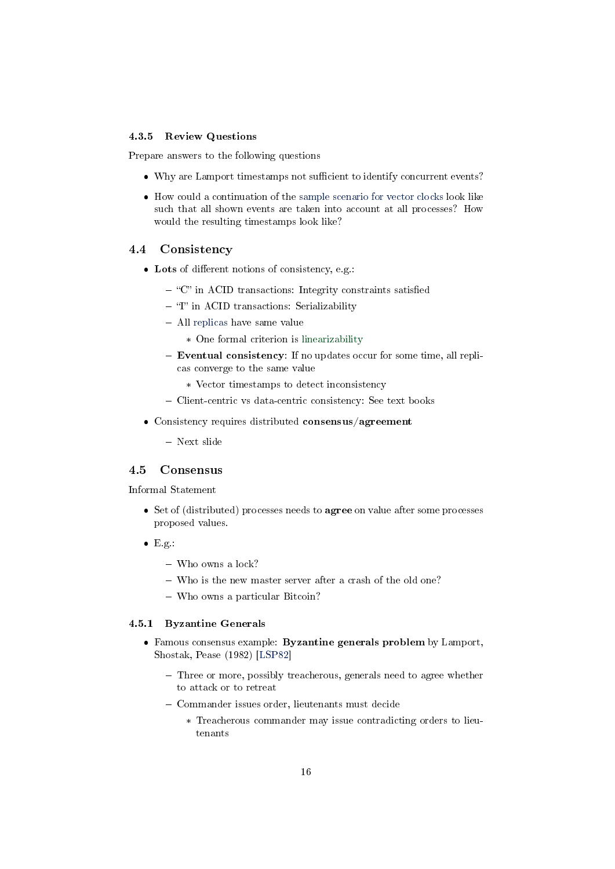### 4.3.5 Review Questions

Prepare answers to the following questions

- Why are Lamport timestamps not sufficient to identify concurrent events?
- How could a continuation of the [sample scenario for vector clocks](#page-14-0) look like such that all shown events are taken into account at all processes? How would the resulting timestamps look like?

#### 4.4 Consistency

- Lots of different notions of consistency, e.g.:
	- $-$  "C" in ACID transactions: Integrity constraints satisfied
	- $-$  "I" in ACID transactions: Serializability
	- All [replicas](#page-6-0) have same value
		- \* One formal criterion is [linearizability](https://en.wikipedia.org/wiki/Linearizability)
	- Eventual consistency: If no updates occur for some time, all replicas converge to the same value
		- \* Vector timestamps to detect inconsistency
	- Client-centric vs data-centric consistency: See text books
- Consistency requires distributed consensus/agreement
	- Next slide

# <span id="page-15-0"></span>4.5 Consensus

Informal Statement

- Set of (distributed) processes needs to **agree** on value after some processes proposed values.
- $\bullet$  E.g.:
	- Who owns a lock?
	- Who is the new master server after a crash of the old one?
	- Who owns a particular Bitcoin?

#### 4.5.1 Byzantine Generals

- Famous consensus example: Byzantine generals problem by Lamport, Shostak, Pease (1982) [\[LSP82\]](#page-18-6)
	- Three or more, possibly treacherous, generals need to agree whether to attack or to retreat
	- Commander issues order, lieutenants must decide
		- \* Treacherous commander may issue contradicting orders to lieutenants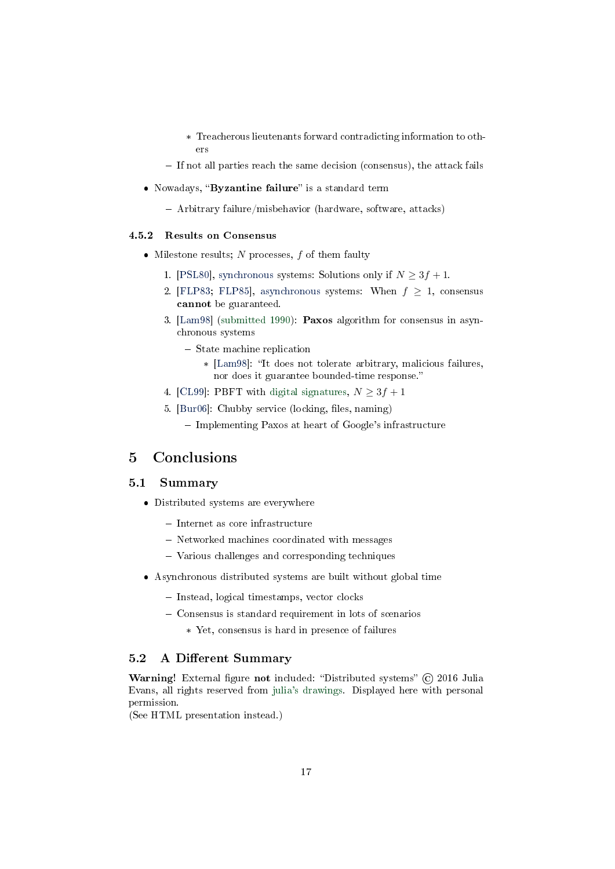- \* Treacherous lieutenants forward contradicting information to others
- $-$  If not all parties reach the same decision (consensus), the attack fails
- Nowadays, "Byzantine failure" is a standard term
	- Arbitrary failure/misbehavior (hardware, software, attacks)

### 4.5.2 Results on Consensus

- $\bullet$  Milestone results; N processes, f of them faulty
	- 1. [\[PSL80\]](#page-18-7), [synchronous](#page-10-2) systems: Solutions only if  $N \geq 3f + 1$ .
	- 2. [\[FLP83;](#page-17-4) [FLP85\]](#page-17-2), [asynchronous](#page-10-1) systems: When  $f \geq 1$ , consensus cannot be guaranteed.
	- 3. [\[Lam98\]](#page-18-8) [\(submitted 1990\)](http://research.microsoft.com/en-us/um/people/lamport/pubs/pubs.html#lamport-paxos): Paxos algorithm for consensus in asynchronous systems
		- State machine replication
			- \* [\[Lam98\]](#page-18-8): "It does not tolerate arbitrary, malicious failures, nor does it guarantee bounded-time response.
	- 4. [\[CL99\]](#page-17-5): PBFT with [digital signatures,](https://oer.gitlab.io/OS/Operating-Systems-Security.html#slide-digital-signatures)  $N \geq 3f + 1$
	- 5. [\[Bur06\]](#page-17-6): Chubby service (locking, files, naming)
		- $\overline{\phantom{a}}$  Implementing Paxos at heart of Google's infrastructure

# <span id="page-16-0"></span>5 Conclusions

# 5.1 Summary

- Distributed systems are everywhere
	- $-$  Internet as core infrastructure
	- Networked machines coordinated with messages
	- Various challenges and corresponding techniques
- Asynchronous distributed systems are built without global time
	- Instead, logical timestamps, vector clocks
	- Consensus is standard requirement in lots of scenarios
		- \* Yet, consensus is hard in presence of failures

#### 5.2 A Different Summary

Warning! External figure not included: "Distributed systems" © 2016 Julia Evans, all rights reserved from [julia's drawings.](https://drawings.jvns.ca/distributed-systems/) Displayed here with personal permission.

(See HTML presentation instead.)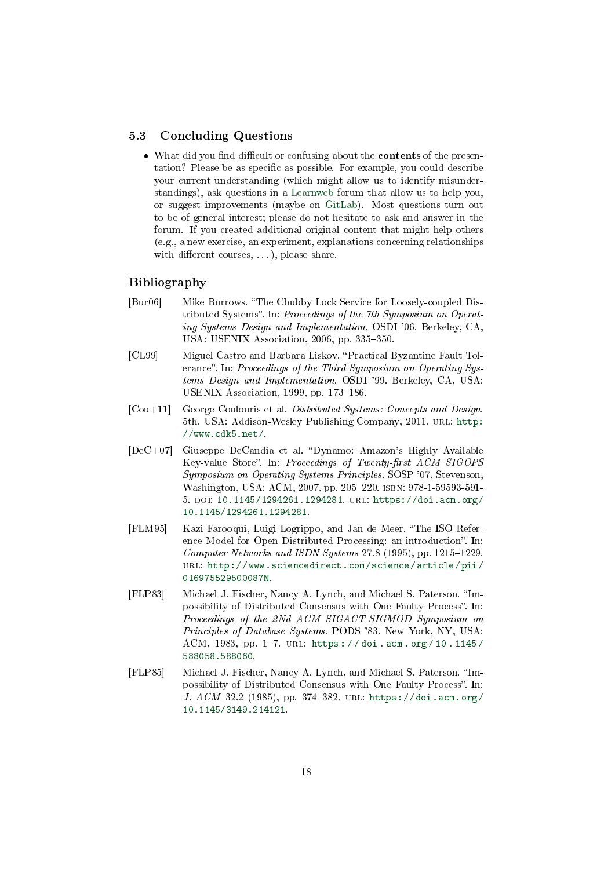#### 5.3 Concluding Questions

• What did you find difficult or confusing about the **contents** of the presentation? Please be as specific as possible. For example, you could describe your current understanding (which might allow us to identify misunderstandings), ask questions in a [Learnweb](https://sso.uni-muenster.de/LearnWeb/learnweb2/course/view.php?id=51305) forum that allow us to help you, or suggest improvements (maybe on [GitLab\)](https://gitlab.com/oer/oer-courses/cacs/). Most questions turn out to be of general interest; please do not hesitate to ask and answer in the forum. If you created additional original content that might help others (e.g., a new exercise, an experiment, explanations concerning relationships with different courses,  $\dots$ ), please share.

## Bibliography

- <span id="page-17-6"></span>[Bur06] Mike Burrows. The Chubby Lock Service for Loosely-coupled Distributed Systems". In: Proceedings of the 7th Symposium on Operating Systems Design and Implementation. OSDI '06. Berkeley, CA, USA: USENIX Association, 2006, pp. 335-350.
- <span id="page-17-5"></span>[CL99] Miguel Castro and Barbara Liskov. Practical Byzantine Fault Tolerance". In: Proceedings of the Third Symposium on Operating Systems Design and Implementation. OSDI '99. Berkeley, CA, USA: USENIX Association, 1999, pp. 173-186.
- <span id="page-17-0"></span>[Cou+11] George Coulouris et al. Distributed Systems: Concepts and Design. 5th. USA: Addison-Wesley Publishing Company, 2011. URL: [http:](http://www.cdk5.net/) [//www.cdk5.net/.](http://www.cdk5.net/)
- <span id="page-17-3"></span> $[DeC+07]$  Giuseppe DeCandia et al. "Dynamo: Amazon's Highly Available Key-value Store". In: Proceedings of Twenty-first ACM SIGOPS Symposium on Operating Systems Principles. SOSP '07. Stevenson, Washington, USA: ACM, 2007, pp. 205-220. ISBN: 978-1-59593-591-5. doi: [10.1145/1294261.1294281.](https://doi.org/10.1145/1294261.1294281) url: [https://doi.acm.org/](https://doi.acm.org/10.1145/1294261.1294281) [10.1145/1294261.1294281.](https://doi.acm.org/10.1145/1294261.1294281)
- <span id="page-17-1"></span>[FLM95] Kazi Farooqui, Luigi Logrippo, and Jan de Meer. The ISO Reference Model for Open Distributed Processing: an introduction". In: Computer Networks and ISDN Systems  $27.8$  (1995), pp. 1215–1229. url: [http://www.sciencedirect.com/science/article/pii/](http://www.sciencedirect.com/science/article/pii/016975529500087N) [016975529500087N.](http://www.sciencedirect.com/science/article/pii/016975529500087N)
- <span id="page-17-4"></span>[FLP83] Michael J. Fischer, Nancy A. Lynch, and Michael S. Paterson. "Impossibility of Distributed Consensus with One Faulty Process". In: Proceedings of the 2Nd ACM SIGACT-SIGMOD Symposium on Principles of Database Systems. PODS '83. New York, NY, USA: ACM, 1983, pp. 1-7. URL: https://doi.acm.org/10.1145/ [588058.588060.](https://doi.acm.org/10.1145/588058.588060)
- <span id="page-17-2"></span>[FLP85] Michael J. Fischer, Nancy A. Lynch, and Michael S. Paterson. "Impossibility of Distributed Consensus with One Faulty Process". In: J. ACM 32.2 (1985), pp. 374-382. URL: [https://doi.acm.org/](https://doi.acm.org/10.1145/3149.214121) [10.1145/3149.214121.](https://doi.acm.org/10.1145/3149.214121)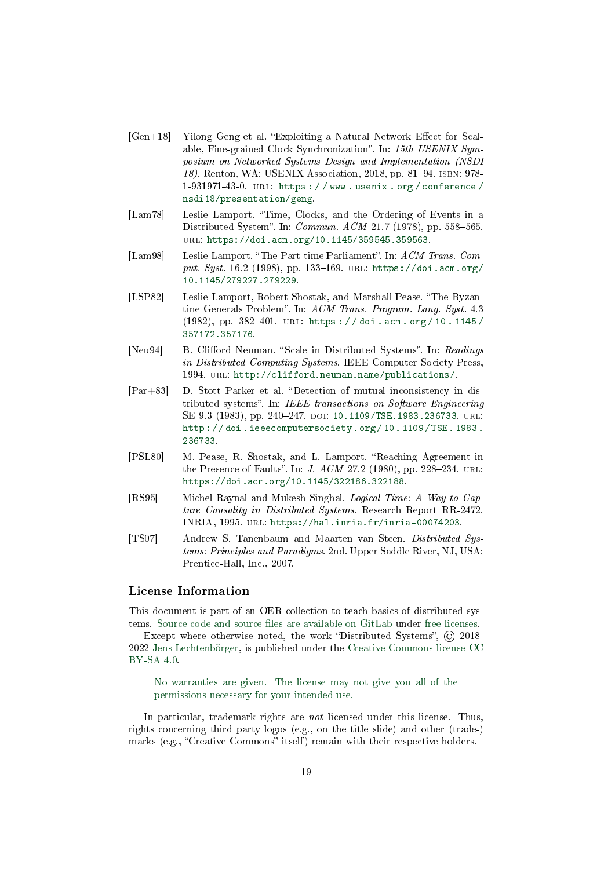- <span id="page-18-2"></span> $[Gen+18]$  Yilong Geng et al. "Exploiting a Natural Network Effect for Scalable, Fine-grained Clock Synchronization". In:  $15th$  USENIX Symposium on Networked Systems Design and Implementation (NSDI 18). Renton, WA: USENIX Association, 2018, pp. 81-94. ISBN: 978-1-931971-43-0. url: [https : / / www . usenix . org / conference /](https://www.usenix.org/conference/nsdi18/presentation/geng) [nsdi18/presentation/geng.](https://www.usenix.org/conference/nsdi18/presentation/geng)
- <span id="page-18-3"></span>[Lam78] Leslie Lamport. "Time, Clocks, and the Ordering of Events in a Distributed System". In: *Commun. ACM* 21.7 (1978), pp. 558-565. url: [https://doi.acm.org/10.1145/359545.359563.](https://doi.acm.org/10.1145/359545.359563)
- <span id="page-18-8"></span>[Lam98] Leslie Lamport. "The Part-time Parliament". In: ACM Trans. Comput. Syst. 16.2 (1998), pp. 133-169. URL: [https://doi.acm.org/](https://doi.acm.org/10.1145/279227.279229) [10.1145/279227.279229.](https://doi.acm.org/10.1145/279227.279229)
- <span id="page-18-6"></span>[LSP82] Leslie Lamport, Robert Shostak, and Marshall Pease. "The Byzantine Generals Problem". In: ACM Trans. Program. Lang. Syst. 4.3 (1982), pp. 382-401. URL: https://doi.acm.org/10.1145/ [357172.357176.](https://doi.acm.org/10.1145/357172.357176)
- <span id="page-18-1"></span>[Neu94] B. Clifford Neuman. "Scale in Distributed Systems". In: Readings in Distributed Computing Systems. IEEE Computer Society Press, 1994. url: [http://clifford.neuman.name/publications/.](http://clifford.neuman.name/publications/)
- <span id="page-18-4"></span>[Par+83] D. Stott Parker et al. Detection of mutual inconsistency in distributed systems". In: IEEE transactions on Software Engineering SE-9.3 (1983), pp. 240-247. DOI: [10.1109/TSE.1983.236733.](https://doi.org/10.1109/TSE.1983.236733) URL: [http : / / doi . ieeecomputersociety . org / 10 . 1109 / TSE . 1983 .](http://doi.ieeecomputersociety.org/10.1109/TSE.1983.236733) [236733.](http://doi.ieeecomputersociety.org/10.1109/TSE.1983.236733)
- <span id="page-18-7"></span>[PSL80] M. Pease, R. Shostak, and L. Lamport. "Reaching Agreement in the Presence of Faults". In: *J. ACM* 27.2 (1980), pp. 228-234. URL: [https://doi.acm.org/10.1145/322186.322188.](https://doi.acm.org/10.1145/322186.322188)
- <span id="page-18-5"></span>[RS95] Michel Raynal and Mukesh Singhal. Logical Time: A Way to Capture Causality in Distributed Systems. Research Report RR-2472. INRIA, 1995. url: [https://hal.inria.fr/inria-00074203.](https://hal.inria.fr/inria-00074203)
- <span id="page-18-0"></span>[TS07] Andrew S. Tanenbaum and Maarten van Steen. Distributed Systems: Principles and Paradigms. 2nd. Upper Saddle River, NJ, USA: Prentice-Hall, Inc., 2007.

# License Information

This document is part of an OER collection to teach basics of distributed systems. Source code and source files are available on GitLab under [free licenses.](https://en.wikipedia.org/wiki/Free_license)

Except where otherwise noted, the work "Distributed Systems", © 2018-2022 [Jens Lechtenbörger,](https://lechten.gitlab.io/#me) is published under the [Creative Commons license CC](https://creativecommons.org/licenses/by-sa/4.0/) [BY-SA 4.0.](https://creativecommons.org/licenses/by-sa/4.0/)

[No warranties are given. The license may not give you all of the](https://creativecommons.org/licenses/by-sa/4.0/#deed-understanding) [permissions necessary for your intended use.](https://creativecommons.org/licenses/by-sa/4.0/#deed-understanding)

In particular, trademark rights are not licensed under this license. Thus, rights concerning third party logos (e.g., on the title slide) and other (trade-) marks (e.g., "Creative Commons" itself) remain with their respective holders.